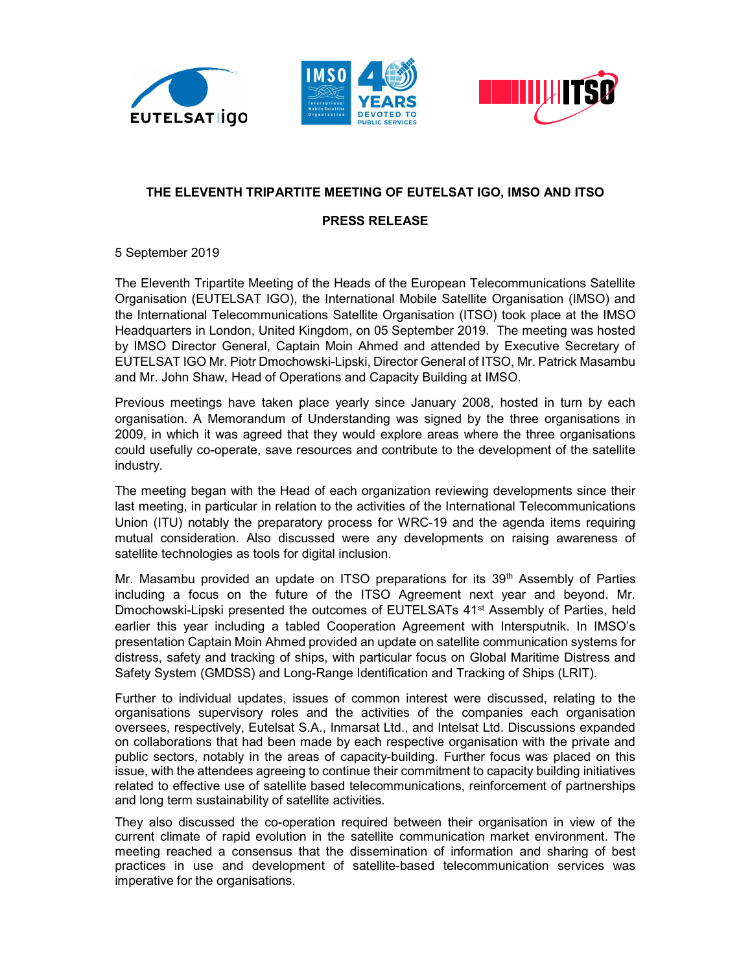





## THE ELEVENTH TRIPARTITE MEETING OF EUTELSAT IGO, IMSO AND ITSO

## PRESS RELEASE

5 September 2019

The Eleventh Tripartite Meeting of the Heads of the European Telecommunications Satellite Organisation (EUTELSAT IGO), the International Mobile Satellite Organisation (IMSO) and the International Telecommunications Satellite Organisation (ITSO) took place at the IMSO Headquarters in London, United Kingdom, on 05 September 2019. The meeting was hosted by IMSO Director General, Captain Moin Ahmed and attended by Executive Secretary of EUTELSAT IGO Mr. Piotr Dmochowski-Lipski, Director General of ITSO, Mr. Patrick Masambu and Mr. John Shaw, Head of Operations and Capacity Building at IMSO.

Previous meetings have taken place yearly since January 2008, hosted in turn by each organisation. A Memorandum of Understanding was signed by the three organisations in 2009, in which it was agreed that they would explore areas where the three organisations could usefully co-operate, save resources and contribute to the development of the satellite industry.

The meeting began with the Head of each organization reviewing developments since their last meeting, in particular in relation to the activities of the International Telecommunications Union (ITU) notably the preparatory process for WRC-19 and the agenda items requiring mutual consideration. Also discussed were any developments on raising awareness of satellite technologies as tools for digital inclusion.

Mr. Masambu provided an update on ITSO preparations for its  $39<sup>th</sup>$  Assembly of Parties including a focus on the future of the ITSO Agreement next year and beyond. Mr. Dmochowski-Lipski presented the outcomes of EUTELSATs 41<sup>st</sup> Assembly of Parties, held earlier this year including a tabled Cooperation Agreement with Intersputnik. In IMSO's presentation Captain Moin Ahmed provided an update on satellite communication systems for distress, safety and tracking of ships, with particular focus on Global Maritime Distress and Safety System (GMDSS) and Long-Range Identification and Tracking of Ships (LRIT).

Further to individual updates, issues of common interest were discussed, relating to the organisations supervisory roles and the activities of the companies each organisation oversees, respectively, Eutelsat S.A., Inmarsat Ltd., and Intelsat Ltd. Discussions expanded on collaborations that had been made by each respective organisation with the private and public sectors, notably in the areas of capacity-building. Further focus was placed on this issue, with the attendees agreeing to continue their commitment to capacity building initiatives related to effective use of satellite based telecommunications, reinforcement of partnerships and long term sustainability of satellite activities.

They also discussed the co-operation required between their organisation in view of the current climate of rapid evolution in the satellite communication market environment. The meeting reached a consensus that the dissemination of information and sharing of best practices in use and development of satellite-based telecommunication services was imperative for the organisations.